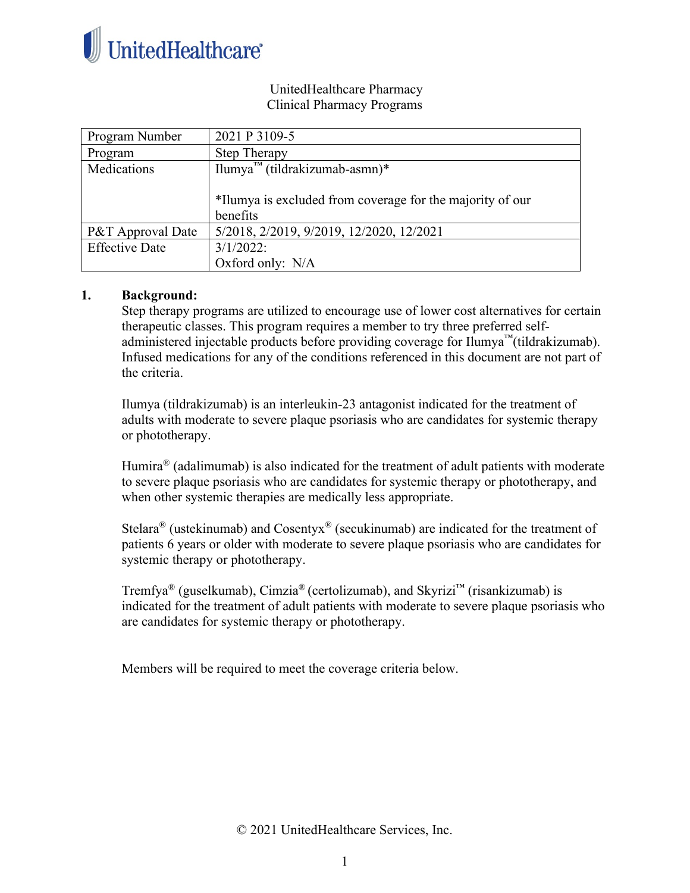

### UnitedHealthcare Pharmacy Clinical Pharmacy Programs

| Program Number        | 2021 P 3109-5                                             |
|-----------------------|-----------------------------------------------------------|
| Program               | <b>Step Therapy</b>                                       |
| Medications           | Ilumya <sup>™</sup> (tildrakizumab-asmn)*                 |
|                       |                                                           |
|                       | *Ilumya is excluded from coverage for the majority of our |
|                       | benefits                                                  |
| P&T Approval Date     | 5/2018, 2/2019, 9/2019, 12/2020, 12/2021                  |
| <b>Effective Date</b> | $3/1/2022$ :                                              |
|                       | Oxford only: N/A                                          |

## **1. Background:**

Step therapy programs are utilized to encourage use of lower cost alternatives for certain therapeutic classes. This program requires a member to try three preferred selfadministered injectable products before providing coverage for Ilumya™(tildrakizumab). Infused medications for any of the conditions referenced in this document are not part of the criteria.

Ilumya (tildrakizumab) is an interleukin-23 antagonist indicated for the treatment of adults with moderate to severe plaque psoriasis who are candidates for systemic therapy or phototherapy.

Humira<sup>®</sup> (adalimumab) is also indicated for the treatment of adult patients with moderate to severe plaque psoriasis who are candidates for systemic therapy or phototherapy, and when other systemic therapies are medically less appropriate.

Stelara<sup>®</sup> (ustekinumab) and Cosentyx<sup>®</sup> (secukinumab) are indicated for the treatment of patients 6 years or older with moderate to severe plaque psoriasis who are candidates for systemic therapy or phototherapy.

Tremfya<sup>®</sup> (guselkumab), Cimzia<sup>®</sup> (certolizumab), and Skyrizi<sup>™</sup> (risankizumab) is indicated for the treatment of adult patients with moderate to severe plaque psoriasis who are candidates for systemic therapy or phototherapy.

Members will be required to meet the coverage criteria below.

© 2021 UnitedHealthcare Services, Inc.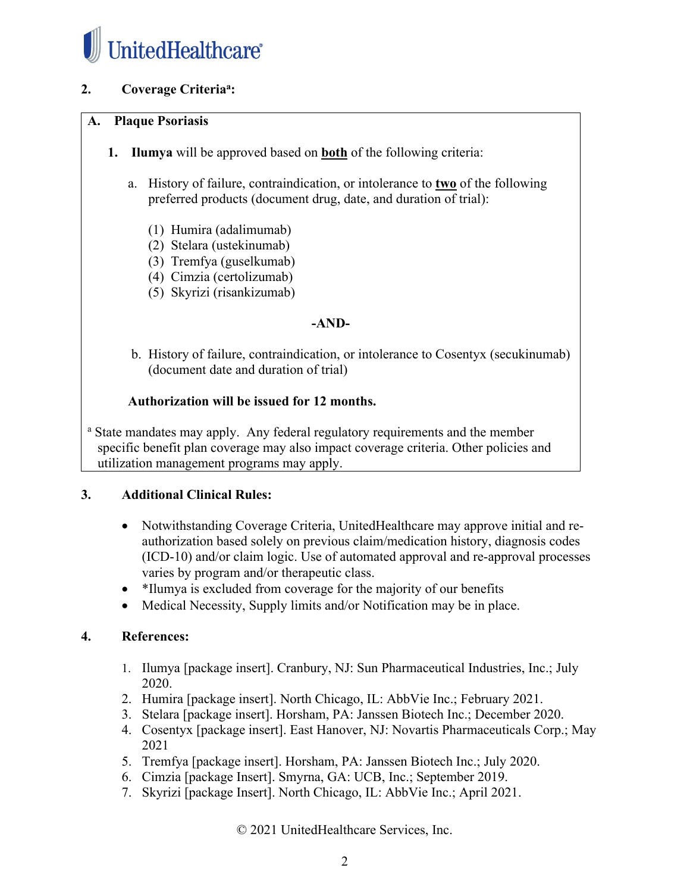

# **2. Coverage Criteriaa :**

## **A. Plaque Psoriasis**

- **1. Ilumya** will be approved based on **both** of the following criteria:
	- a. History of failure, contraindication, or intolerance to **two** of the following preferred products (document drug, date, and duration of trial):
		- (1) Humira (adalimumab)
		- (2) Stelara (ustekinumab)
		- (3) Tremfya (guselkumab)
		- (4) Cimzia (certolizumab)
		- (5) Skyrizi (risankizumab)

#### **-AND-**

b. History of failure, contraindication, or intolerance to Cosentyx (secukinumab) (document date and duration of trial)

#### **Authorization will be issued for 12 months.**

<sup>a</sup> State mandates may apply. Any federal regulatory requirements and the member specific benefit plan coverage may also impact coverage criteria. Other policies and utilization management programs may apply.

#### **3. Additional Clinical Rules:**

- Notwithstanding Coverage Criteria, UnitedHealthcare may approve initial and reauthorization based solely on previous claim/medication history, diagnosis codes (ICD-10) and/or claim logic. Use of automated approval and re-approval processes varies by program and/or therapeutic class.
- \*Ilumya is excluded from coverage for the majority of our benefits
- Medical Necessity, Supply limits and/or Notification may be in place.

#### **4. References:**

- 1. Ilumya [package insert]. Cranbury, NJ: Sun Pharmaceutical Industries, Inc.; July 2020.
- 2. Humira [package insert]. North Chicago, IL: AbbVie Inc.; February 2021.
- 3. Stelara [package insert]. Horsham, PA: Janssen Biotech Inc.; December 2020.
- 4. Cosentyx [package insert]. East Hanover, NJ: Novartis Pharmaceuticals Corp.; May 2021
- 5. Tremfya [package insert]. Horsham, PA: Janssen Biotech Inc.; July 2020.
- 6. Cimzia [package Insert]. Smyrna, GA: UCB, Inc.; September 2019.
- 7. Skyrizi [package Insert]. North Chicago, IL: AbbVie Inc.; April 2021.

© 2021 UnitedHealthcare Services, Inc.